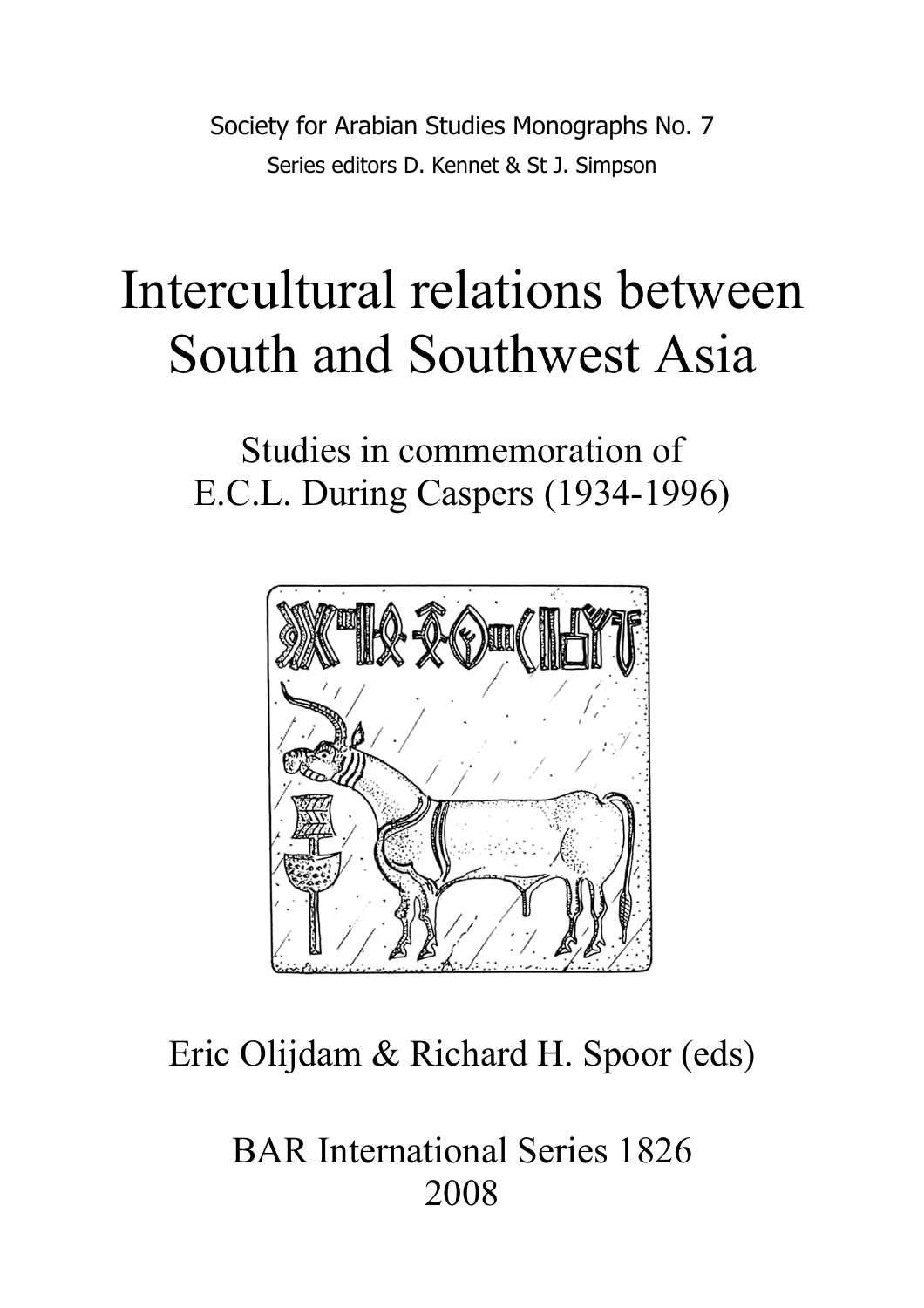Society for Arabian Studies Monographs No. 7 Series editors D. Kennet & St J. Simpson

# Intercultural relations between South and Southwest Asia

Studies in commemoration of E.C.L. During Caspers (1934-1996)



# Eric Olijdam & Richard H. Spoor (eds)

BAR International Series 1826 2008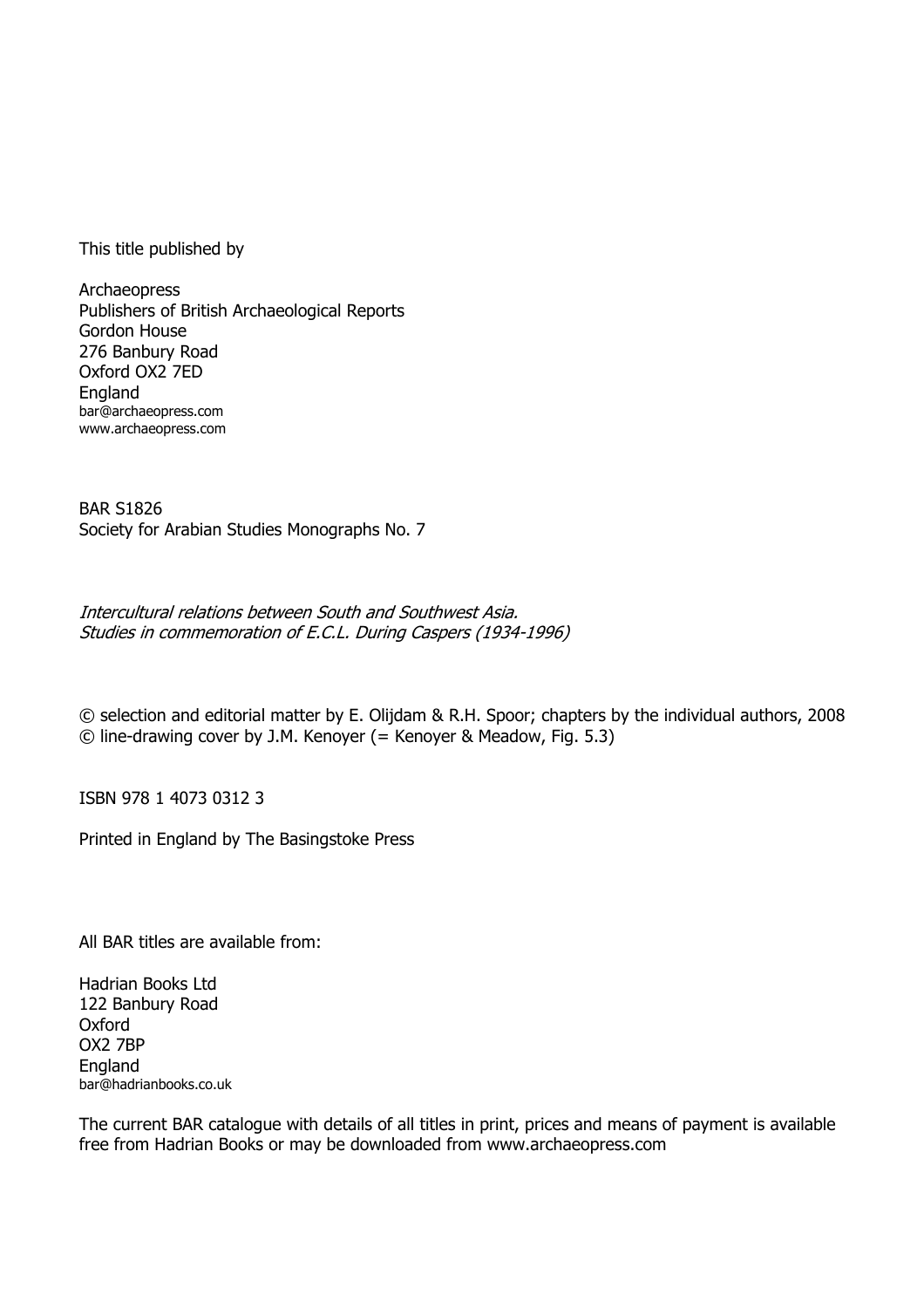This title published by

Archaeopress Publishers of British Archaeological Reports Gordon House 276 Banbury Road Oxford OX2 7ED England bar@archaeopress.com www.archaeopress.com

BAR S1826 Society for Arabian Studies Monographs No. 7

Intercultural relations between South and Southwest Asia. Studies in commemoration of E.C.L. During Caspers (1934-1996)

© selection and editorial matter by E. Olijdam & R.H. Spoor; chapters by the individual authors, 2008 © line-drawing cover by J.M. Kenoyer (= Kenoyer & Meadow, Fig. 5.3)

ISBN 978 1 4073 0312 3

Printed in England by The Basingstoke Press

All BAR titles are available from:

Hadrian Books Ltd 122 Banbury Road **Oxford** OX2 7BP **England** bar@hadrianbooks.co.uk

The current BAR catalogue with details of all titles in print, prices and means of payment is available free from Hadrian Books or may be downloaded from www.archaeopress.com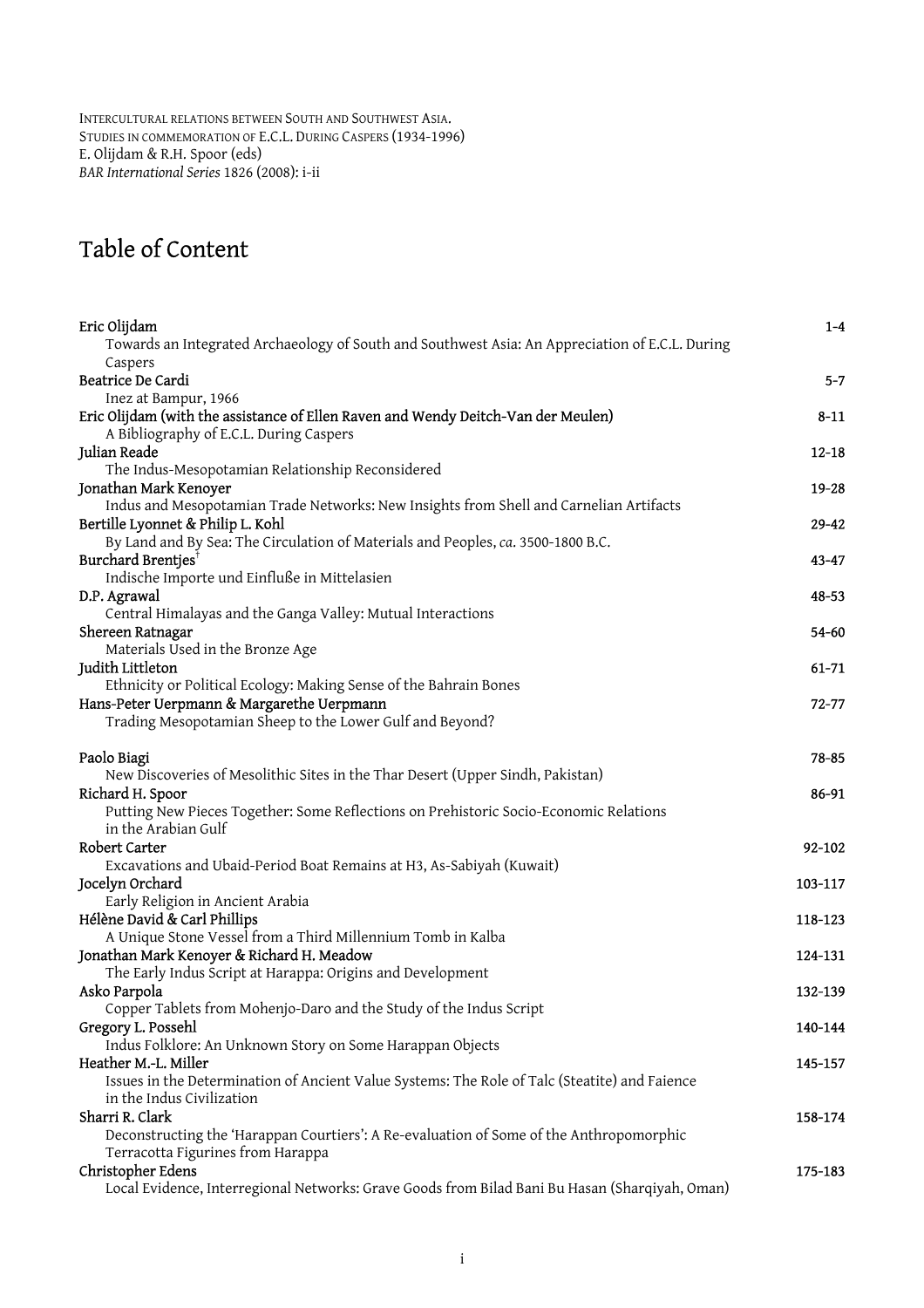INTERCULTURAL RELATIONS BETWEEN SOUTH AND SOUTHWEST ASIA. STUDIES IN COMMEMORATION OF E.C.L. DURING CASPERS (1934-1996) E. Olijdam & R.H. Spoor (eds) *BAR International Series* 1826 (2008): i-ii

# Table of Content

| Eric Olijdam                                                                                                                 | $1-4$     |
|------------------------------------------------------------------------------------------------------------------------------|-----------|
| Towards an Integrated Archaeology of South and Southwest Asia: An Appreciation of E.C.L. During                              |           |
| Caspers                                                                                                                      |           |
| Beatrice De Cardi                                                                                                            | $5 - 7$   |
| Inez at Bampur, 1966                                                                                                         |           |
| Eric Olijdam (with the assistance of Ellen Raven and Wendy Deitch-Van der Meulen)<br>A Bibliography of E.C.L. During Caspers | $8 - 11$  |
| Julian Reade                                                                                                                 | $12 - 18$ |
| The Indus-Mesopotamian Relationship Reconsidered                                                                             |           |
| Jonathan Mark Kenoyer                                                                                                        | $19 - 28$ |
| Indus and Mesopotamian Trade Networks: New Insights from Shell and Carnelian Artifacts                                       |           |
| Bertille Lyonnet & Philip L. Kohl                                                                                            | $29 - 42$ |
| By Land and By Sea: The Circulation of Materials and Peoples, ca. 3500-1800 B.C.                                             |           |
| Burchard Brentjes <sup>†</sup>                                                                                               | $43 - 47$ |
| Indische Importe und Einfluße in Mittelasien                                                                                 |           |
| D.P. Agrawal                                                                                                                 | 48-53     |
| Central Himalayas and the Ganga Valley: Mutual Interactions                                                                  |           |
| Shereen Ratnagar                                                                                                             | 54-60     |
| Materials Used in the Bronze Age                                                                                             |           |
| Judith Littleton                                                                                                             | 61-71     |
| Ethnicity or Political Ecology: Making Sense of the Bahrain Bones                                                            |           |
| Hans-Peter Uerpmann & Margarethe Uerpmann                                                                                    | 72-77     |
| Trading Mesopotamian Sheep to the Lower Gulf and Beyond?                                                                     |           |
| Paolo Biagi                                                                                                                  | $78 - 85$ |
| New Discoveries of Mesolithic Sites in the Thar Desert (Upper Sindh, Pakistan)                                               |           |
| Richard H. Spoor                                                                                                             | 86-91     |
| Putting New Pieces Together: Some Reflections on Prehistoric Socio-Economic Relations                                        |           |
| in the Arabian Gulf                                                                                                          |           |
| Robert Carter                                                                                                                | 92-102    |
| Excavations and Ubaid-Period Boat Remains at H3, As-Sabiyah (Kuwait)                                                         |           |
| Jocelyn Orchard                                                                                                              | 103-117   |
| Early Religion in Ancient Arabia                                                                                             |           |
| Hélène David & Carl Phillips                                                                                                 | 118-123   |
| A Unique Stone Vessel from a Third Millennium Tomb in Kalba                                                                  |           |
| Jonathan Mark Kenoyer & Richard H. Meadow                                                                                    | 124-131   |
| The Early Indus Script at Harappa: Origins and Development                                                                   |           |
| Asko Parpola                                                                                                                 | 132-139   |
| Copper Tablets from Mohenjo-Daro and the Study of the Indus Script                                                           |           |
| Gregory L. Possehl                                                                                                           | 140-144   |
| Indus Folklore: An Unknown Story on Some Harappan Objects                                                                    |           |
| Heather M.-L. Miller                                                                                                         | 145-157   |
| Issues in the Determination of Ancient Value Systems: The Role of Talc (Steatite) and Faience                                |           |
| in the Indus Civilization                                                                                                    |           |
| Sharri R. Clark                                                                                                              | 158-174   |
| Deconstructing the 'Harappan Courtiers': A Re-evaluation of Some of the Anthropomorphic<br>Terracotta Figurines from Harappa |           |
| Christopher Edens                                                                                                            | 175-183   |
| Local Evidence, Interregional Networks: Grave Goods from Bilad Bani Bu Hasan (Sharqiyah, Oman)                               |           |
|                                                                                                                              |           |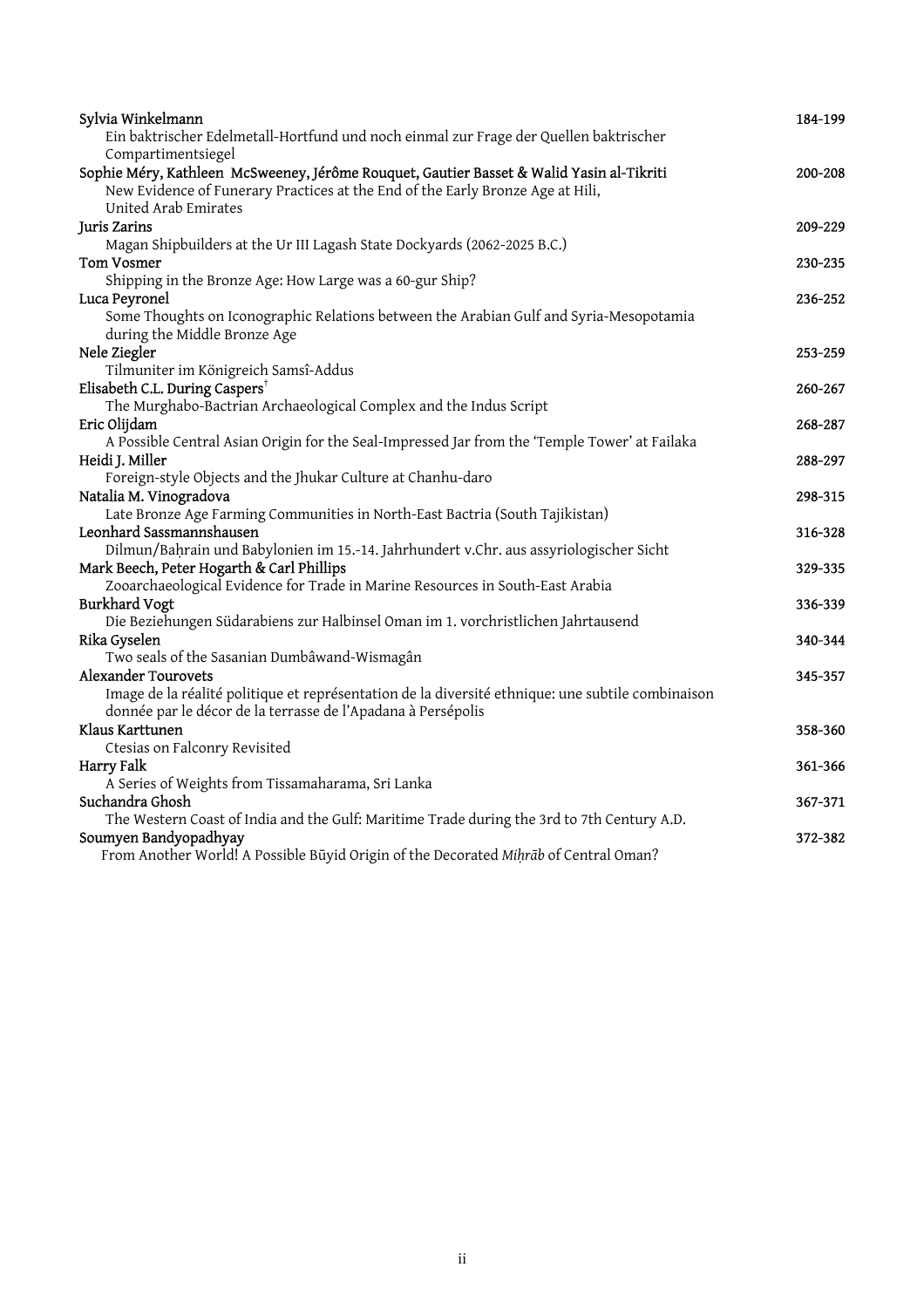| Sylvia Winkelmann                                                                                                                                                          | 184-199 |
|----------------------------------------------------------------------------------------------------------------------------------------------------------------------------|---------|
| Ein baktrischer Edelmetall-Hortfund und noch einmal zur Frage der Quellen baktrischer                                                                                      |         |
| Compartimentsiegel                                                                                                                                                         |         |
| Sophie Méry, Kathleen McSweeney, Jérôme Rouquet, Gautier Basset & Walid Yasin al-Tikriti<br>New Evidence of Funerary Practices at the End of the Early Bronze Age at Hili, | 200-208 |
| United Arab Emirates                                                                                                                                                       |         |
| <b>Juris Zarins</b>                                                                                                                                                        | 209-229 |
| Magan Shipbuilders at the Ur III Lagash State Dockyards (2062-2025 B.C.)                                                                                                   |         |
| <b>Tom Vosmer</b>                                                                                                                                                          | 230-235 |
| Shipping in the Bronze Age: How Large was a 60-gur Ship?                                                                                                                   |         |
| Luca Peyronel                                                                                                                                                              | 236-252 |
| Some Thoughts on Iconographic Relations between the Arabian Gulf and Syria-Mesopotamia<br>during the Middle Bronze Age                                                     |         |
| Nele Ziegler                                                                                                                                                               | 253-259 |
| Tilmuniter im Königreich Samsî-Addus                                                                                                                                       |         |
| Elisabeth C.L. During Caspers <sup>†</sup>                                                                                                                                 | 260-267 |
| The Murghabo-Bactrian Archaeological Complex and the Indus Script                                                                                                          |         |
| Eric Olijdam                                                                                                                                                               | 268-287 |
| A Possible Central Asian Origin for the Seal-Impressed Jar from the 'Temple Tower' at Failaka                                                                              |         |
| Heidi J. Miller                                                                                                                                                            | 288-297 |
| Foreign-style Objects and the Jhukar Culture at Chanhu-daro                                                                                                                |         |
| Natalia M. Vinogradova                                                                                                                                                     | 298-315 |
| Late Bronze Age Farming Communities in North-East Bactria (South Tajikistan)                                                                                               |         |
| Leonhard Sassmannshausen                                                                                                                                                   | 316-328 |
| Dilmun/Bahrain und Babylonien im 15.-14. Jahrhundert v.Chr. aus assyriologischer Sicht                                                                                     |         |
| Mark Beech, Peter Hogarth & Carl Phillips                                                                                                                                  | 329-335 |
| Zooarchaeological Evidence for Trade in Marine Resources in South-East Arabia                                                                                              |         |
| <b>Burkhard Vogt</b>                                                                                                                                                       | 336-339 |
| Die Beziehungen Südarabiens zur Halbinsel Oman im 1. vorchristlichen Jahrtausend                                                                                           |         |
| Rika Gyselen                                                                                                                                                               | 340-344 |
| Two seals of the Sasanian Dumbâwand-Wismagân                                                                                                                               |         |
| <b>Alexander Tourovets</b>                                                                                                                                                 | 345-357 |
| Image de la réalité politique et représentation de la diversité ethnique: une subtile combinaison                                                                          |         |
| donnée par le décor de la terrasse de l'Apadana à Persépolis                                                                                                               |         |
| Klaus Karttunen                                                                                                                                                            | 358-360 |
| Ctesias on Falconry Revisited                                                                                                                                              |         |
| Harry Falk                                                                                                                                                                 | 361-366 |
| A Series of Weights from Tissamaharama, Sri Lanka                                                                                                                          |         |
| Suchandra Ghosh                                                                                                                                                            | 367-371 |
| The Western Coast of India and the Gulf: Maritime Trade during the 3rd to 7th Century A.D.                                                                                 |         |
| Soumyen Bandyopadhyay                                                                                                                                                      | 372-382 |
| From Another World! A Possible Būyid Origin of the Decorated Mihrab of Central Oman?                                                                                       |         |
|                                                                                                                                                                            |         |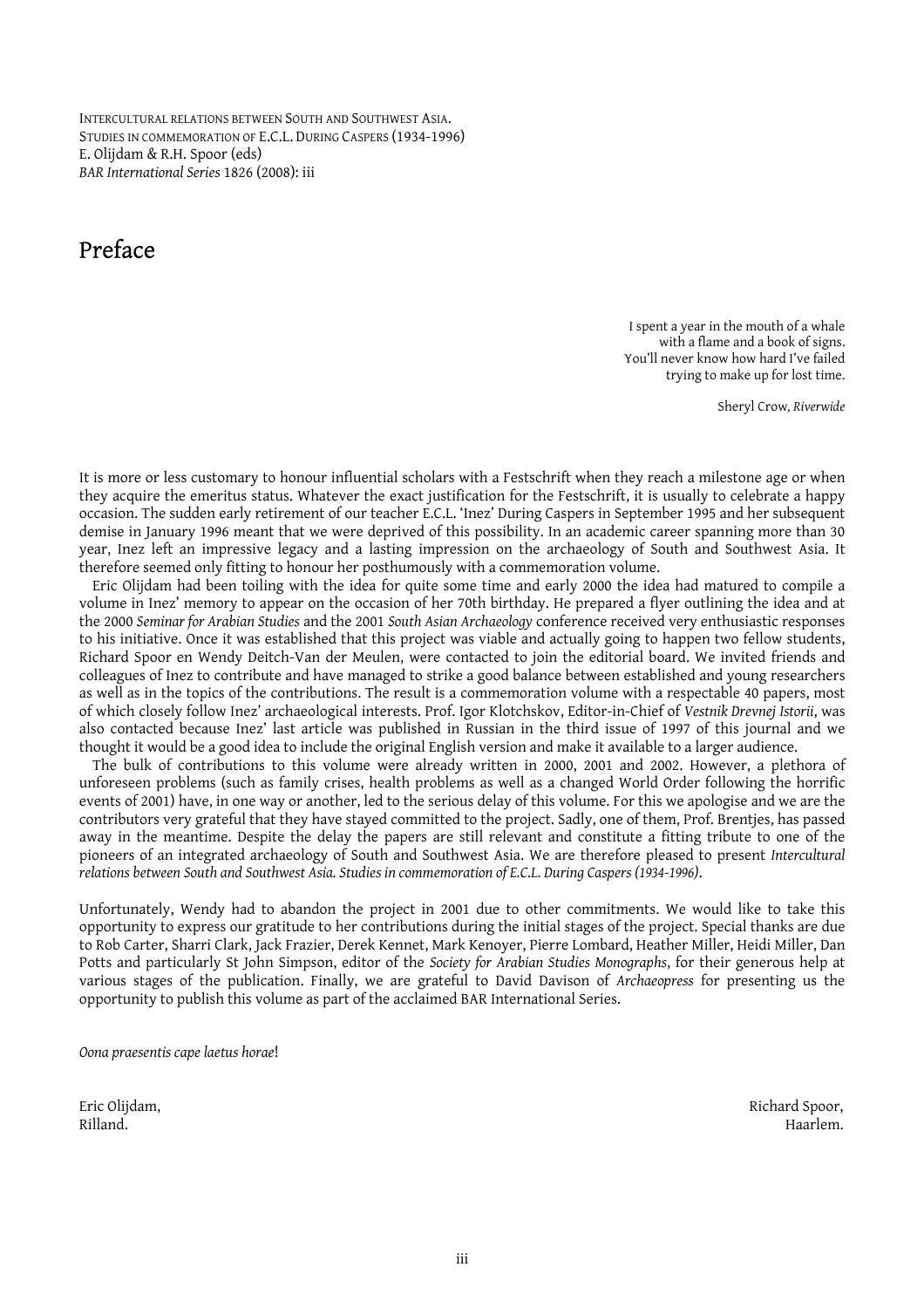INTERCULTURAL RELATIONS BETWEEN SOUTH AND SOUTHWEST ASIA. STUDIES IN COMMEMORATION OF E.C.L. DURING CASPERS (1934-1996) E. Olijdam & R.H. Spoor (eds) *BAR International Series* 1826 (2008): iii

### Preface

I spent a year in the mouth of a whale with a flame and a book of signs. You'll never know how hard I've failed trying to make up for lost time.

Sheryl Crow*, Riverwide* 

It is more or less customary to honour influential scholars with a Festschrift when they reach a milestone age or when they acquire the emeritus status. Whatever the exact justification for the Festschrift, it is usually to celebrate a happy occasion. The sudden early retirement of our teacher E.C.L. 'Inez' During Caspers in September 1995 and her subsequent demise in January 1996 meant that we were deprived of this possibility. In an academic career spanning more than 30 year, Inez left an impressive legacy and a lasting impression on the archaeology of South and Southwest Asia. It therefore seemed only fitting to honour her posthumously with a commemoration volume.

 Eric Olijdam had been toiling with the idea for quite some time and early 2000 the idea had matured to compile a volume in Inez' memory to appear on the occasion of her 70th birthday. He prepared a flyer outlining the idea and at the 2000 *Seminar for Arabian Studies* and the 2001 *South Asian Archaeology* conference received very enthusiastic responses to his initiative. Once it was established that this project was viable and actually going to happen two fellow students, Richard Spoor en Wendy Deitch-Van der Meulen, were contacted to join the editorial board. We invited friends and colleagues of Inez to contribute and have managed to strike a good balance between established and young researchers as well as in the topics of the contributions. The result is a commemoration volume with a respectable 40 papers, most of which closely follow Inez' archaeological interests. Prof. Igor Klotchskov, Editor-in-Chief of *Vestnik Drevnej Istorii*, was also contacted because Inez' last article was published in Russian in the third issue of 1997 of this journal and we thought it would be a good idea to include the original English version and make it available to a larger audience.

The bulk of contributions to this volume were already written in 2000, 2001 and 2002. However, a plethora of unforeseen problems (such as family crises, health problems as well as a changed World Order following the horrific events of 2001) have, in one way or another, led to the serious delay of this volume. For this we apologise and we are the contributors very grateful that they have stayed committed to the project. Sadly, one of them, Prof. Brentjes, has passed away in the meantime. Despite the delay the papers are still relevant and constitute a fitting tribute to one of the pioneers of an integrated archaeology of South and Southwest Asia. We are therefore pleased to present *Intercultural relations between South and Southwest Asia. Studies in commemoration of E.C.L. During Caspers (1934-1996)*.

Unfortunately, Wendy had to abandon the project in 2001 due to other commitments. We would like to take this opportunity to express our gratitude to her contributions during the initial stages of the project. Special thanks are due to Rob Carter, Sharri Clark, Jack Frazier, Derek Kennet, Mark Kenoyer, Pierre Lombard, Heather Miller, Heidi Miller, Dan Potts and particularly St John Simpson, editor of the *Society for Arabian Studies Monographs*, for their generous help at various stages of the publication. Finally, we are grateful to David Davison of *Archaeopress* for presenting us the opportunity to publish this volume as part of the acclaimed BAR International Series.

*Oona praesentis cape laetus horae*!

Eric Olijdam, Richard Spoor, Rilland. Haarlem.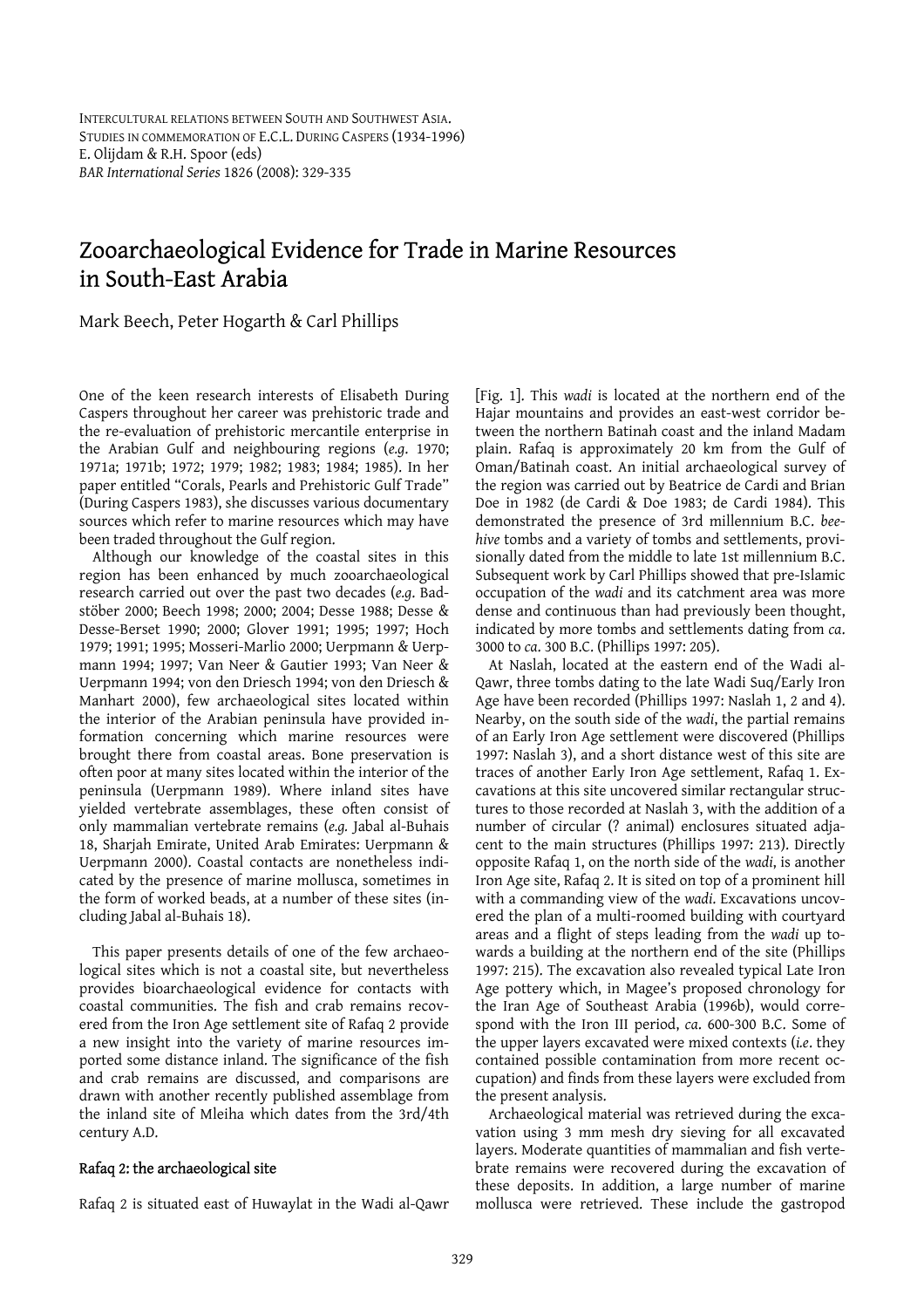## Zooarchaeological Evidence for Trade in Marine Resources in South-East Arabia

Mark Beech, Peter Hogarth & Carl Phillips

One of the keen research interests of Elisabeth During Caspers throughout her career was prehistoric trade and the re-evaluation of prehistoric mercantile enterprise in the Arabian Gulf and neighbouring regions (*e.g*. 1970; 1971a; 1971b; 1972; 1979; 1982; 1983; 1984; 1985). In her paper entitled "Corals, Pearls and Prehistoric Gulf Trade" (During Caspers 1983), she discusses various documentary sources which refer to marine resources which may have been traded throughout the Gulf region.

 Although our knowledge of the coastal sites in this region has been enhanced by much zooarchaeological research carried out over the past two decades (*e.g*. Badstöber 2000; Beech 1998; 2000; 2004; Desse 1988; Desse & Desse-Berset 1990; 2000; Glover 1991; 1995; 1997; Hoch 1979; 1991; 1995; Mosseri-Marlio 2000; Uerpmann & Uerpmann 1994; 1997; Van Neer & Gautier 1993; Van Neer & Uerpmann 1994; von den Driesch 1994; von den Driesch & Manhart 2000), few archaeological sites located within the interior of the Arabian peninsula have provided information concerning which marine resources were brought there from coastal areas. Bone preservation is often poor at many sites located within the interior of the peninsula (Uerpmann 1989). Where inland sites have yielded vertebrate assemblages, these often consist of only mammalian vertebrate remains (*e.g.* Jabal al-Buhais 18, Sharjah Emirate, United Arab Emirates: Uerpmann & Uerpmann 2000). Coastal contacts are nonetheless indicated by the presence of marine mollusca, sometimes in the form of worked beads, at a number of these sites (including Jabal al-Buhais 18).

This paper presents details of one of the few archaeological sites which is not a coastal site, but nevertheless provides bioarchaeological evidence for contacts with coastal communities. The fish and crab remains recovered from the Iron Age settlement site of Rafaq 2 provide a new insight into the variety of marine resources imported some distance inland. The significance of the fish and crab remains are discussed, and comparisons are drawn with another recently published assemblage from the inland site of Mleiha which dates from the 3rd/4th century A.D.

#### Rafaq 2: the archaeological site

Rafaq 2 is situated east of Huwaylat in the Wadi al-Qawr

[Fig. 1]. This *wadi* is located at the northern end of the Hajar mountains and provides an east-west corridor between the northern Batinah coast and the inland Madam plain. Rafaq is approximately 20 km from the Gulf of Oman/Batinah coast. An initial archaeological survey of the region was carried out by Beatrice de Cardi and Brian Doe in 1982 (de Cardi & Doe 1983; de Cardi 1984). This demonstrated the presence of 3rd millennium B.C. *beehive* tombs and a variety of tombs and settlements, provisionally dated from the middle to late 1st millennium B.C. Subsequent work by Carl Phillips showed that pre-Islamic occupation of the *wadi* and its catchment area was more dense and continuous than had previously been thought, indicated by more tombs and settlements dating from *ca*. 3000 to *ca*. 300 B.C. (Phillips 1997: 205).

 At Naslah, located at the eastern end of the Wadi al-Qawr, three tombs dating to the late Wadi Suq/Early Iron Age have been recorded (Phillips 1997: Naslah 1, 2 and 4). Nearby, on the south side of the *wadi*, the partial remains of an Early Iron Age settlement were discovered (Phillips 1997: Naslah 3), and a short distance west of this site are traces of another Early Iron Age settlement, Rafaq 1. Excavations at this site uncovered similar rectangular structures to those recorded at Naslah 3, with the addition of a number of circular (? animal) enclosures situated adjacent to the main structures (Phillips 1997: 213). Directly opposite Rafaq 1, on the north side of the *wadi*, is another Iron Age site, Rafaq 2. It is sited on top of a prominent hill with a commanding view of the *wadi*. Excavations uncovered the plan of a multi-roomed building with courtyard areas and a flight of steps leading from the *wadi* up towards a building at the northern end of the site (Phillips 1997: 215). The excavation also revealed typical Late Iron Age pottery which, in Magee's proposed chronology for the Iran Age of Southeast Arabia (1996b), would correspond with the Iron III period, *ca*. 600-300 B.C. Some of the upper layers excavated were mixed contexts (*i.e*. they contained possible contamination from more recent occupation) and finds from these layers were excluded from the present analysis.

 Archaeological material was retrieved during the excavation using 3 mm mesh dry sieving for all excavated layers. Moderate quantities of mammalian and fish vertebrate remains were recovered during the excavation of these deposits. In addition, a large number of marine mollusca were retrieved. These include the gastropod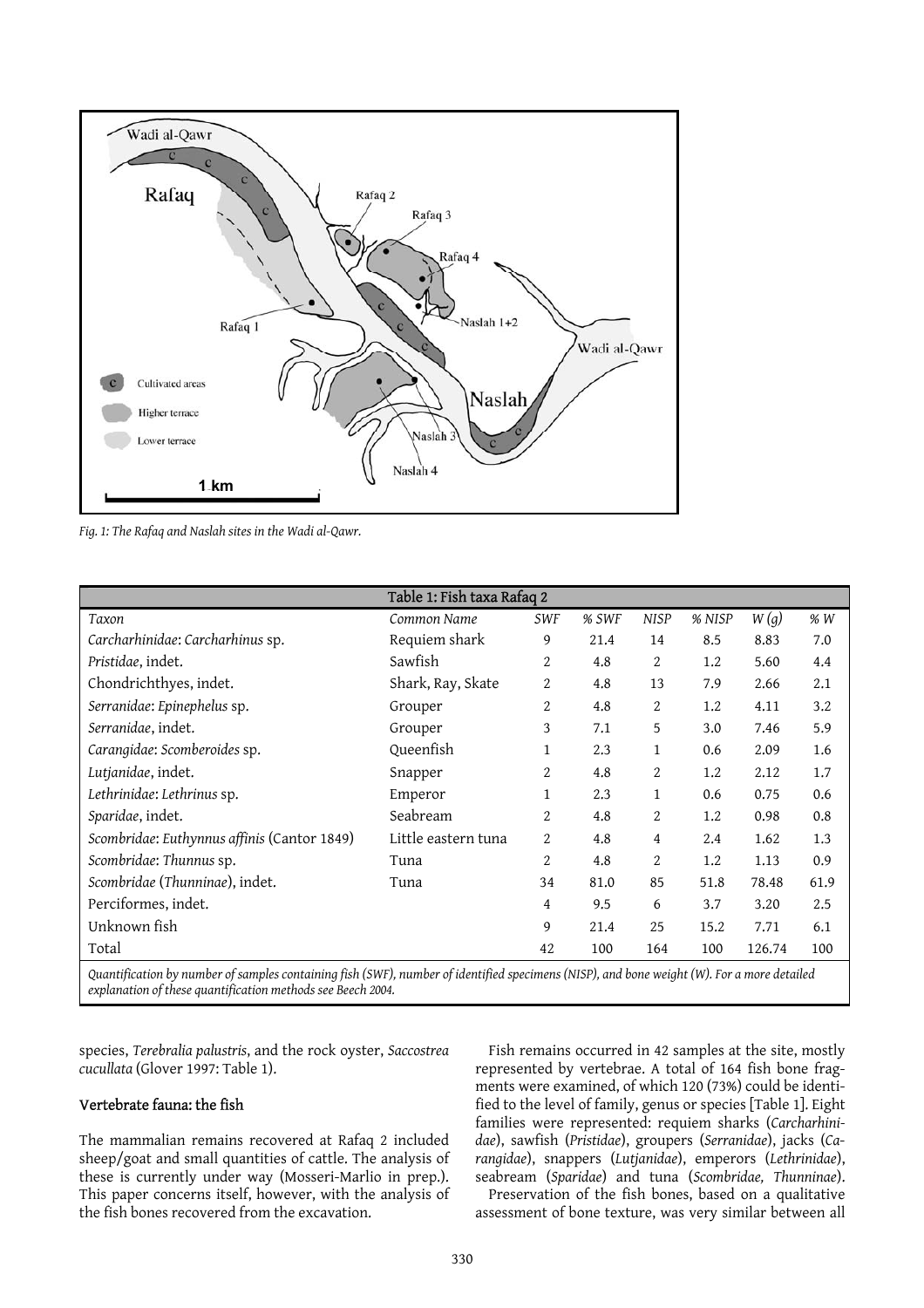

*Fig. 1: The Rafaq and Naslah sites in the Wadi al-Qawr.* 

|                                                                                                                                                                                                                                                                                                           | Table 1: Fish taxa Rafaq 2 |                |       |             |        |        |      |
|-----------------------------------------------------------------------------------------------------------------------------------------------------------------------------------------------------------------------------------------------------------------------------------------------------------|----------------------------|----------------|-------|-------------|--------|--------|------|
| Taxon                                                                                                                                                                                                                                                                                                     | Common Name                | <b>SWF</b>     | % SWF | <b>NISP</b> | % NISP | W(g)   | % W  |
| Carcharhinidae: Carcharhinus sp.                                                                                                                                                                                                                                                                          | Requiem shark              | 9              | 21.4  | 14          | 8.5    | 8.83   | 7.0  |
| Pristidae, indet.                                                                                                                                                                                                                                                                                         | Sawfish                    | 2              | 4.8   | 2           | 1.2    | 5.60   | 4.4  |
| Chondrichthyes, indet.                                                                                                                                                                                                                                                                                    | Shark, Ray, Skate          | 2              | 4.8   | 13          | 7.9    | 2.66   | 2.1  |
| Serranidae: Epinephelus sp.                                                                                                                                                                                                                                                                               | Grouper                    | 2              | 4.8   | 2           | 1.2    | 4.11   | 3.2  |
| Serranidae, indet.                                                                                                                                                                                                                                                                                        | Grouper                    | 3              | 7.1   | 5           | 3.0    | 7.46   | 5.9  |
| Carangidae: Scomberoides sp.                                                                                                                                                                                                                                                                              | Queenfish                  | 1              | 2.3   | 1           | 0.6    | 2.09   | 1.6  |
| Lutjanidae, indet.                                                                                                                                                                                                                                                                                        | Snapper                    | $\overline{2}$ | 4.8   | 2           | 1.2    | 2.12   | 1.7  |
| Lethrinidae: Lethrinus sp.                                                                                                                                                                                                                                                                                | Emperor                    | 1              | 2.3   | 1           | 0.6    | 0.75   | 0.6  |
| Sparidae, indet.                                                                                                                                                                                                                                                                                          | Seabream                   | $\overline{2}$ | 4.8   | 2           | 1.2    | 0.98   | 0.8  |
| Scombridae: Euthynnus affinis (Cantor 1849)                                                                                                                                                                                                                                                               | Little eastern tuna        | 2              | 4.8   | 4           | 2.4    | 1.62   | 1.3  |
| Scombridae: Thunnus sp.                                                                                                                                                                                                                                                                                   | Tuna                       | 2              | 4.8   | 2           | 1.2    | 1.13   | 0.9  |
| Scombridae (Thunninae), indet.                                                                                                                                                                                                                                                                            | Tuna                       | 34             | 81.0  | 85          | 51.8   | 78.48  | 61.9 |
| Perciformes, indet.                                                                                                                                                                                                                                                                                       |                            | 4              | 9.5   | 6           | 3.7    | 3.20   | 2.5  |
| Unknown fish                                                                                                                                                                                                                                                                                              |                            | 9              | 21.4  | 25          | 15.2   | 7.71   | 6.1  |
| Total                                                                                                                                                                                                                                                                                                     |                            | 42             | 100   | 164         | 100    | 126.74 | 100  |
| $\alpha$ and $\beta$ and $\alpha$ is the $\alpha$ and $\beta$ and $\beta$ and $\beta$ and $\beta$ and $\beta$ and $\beta$ and $\beta$ and $\beta$ and $\beta$ and $\beta$ and $\beta$ and $\beta$ and $\beta$ and $\beta$ and $\beta$ and $\beta$ and $\beta$ and $\beta$ and $\beta$ and $\beta$ and $\$ |                            |                |       |             |        |        |      |

*Quantification by number of samples containing fish (SWF), number of identified specimens (NISP), and bone weight (W). For a more detailed explanation of these quantification methods see Beech 2004.*

species, *Terebralia palustris*, and the rock oyster, *Saccostrea cucullata* (Glover 1997: Table 1).

#### Vertebrate fauna: the fish

The mammalian remains recovered at Rafaq 2 included sheep/goat and small quantities of cattle. The analysis of these is currently under way (Mosseri-Marlio in prep.). This paper concerns itself, however, with the analysis of the fish bones recovered from the excavation.

 Fish remains occurred in 42 samples at the site, mostly represented by vertebrae. A total of 164 fish bone fragments were examined, of which 120 (73%) could be identified to the level of family, genus or species [Table 1]. Eight families were represented: requiem sharks (*Carcharhinidae*), sawfish (*Pristidae*), groupers (*Serranidae*), jacks (*Carangidae*), snappers (*Lutjanidae*), emperors (*Lethrinidae*), seabream (*Sparidae*) and tuna (*Scombridae, Thunninae*).

 Preservation of the fish bones, based on a qualitative assessment of bone texture, was very similar between all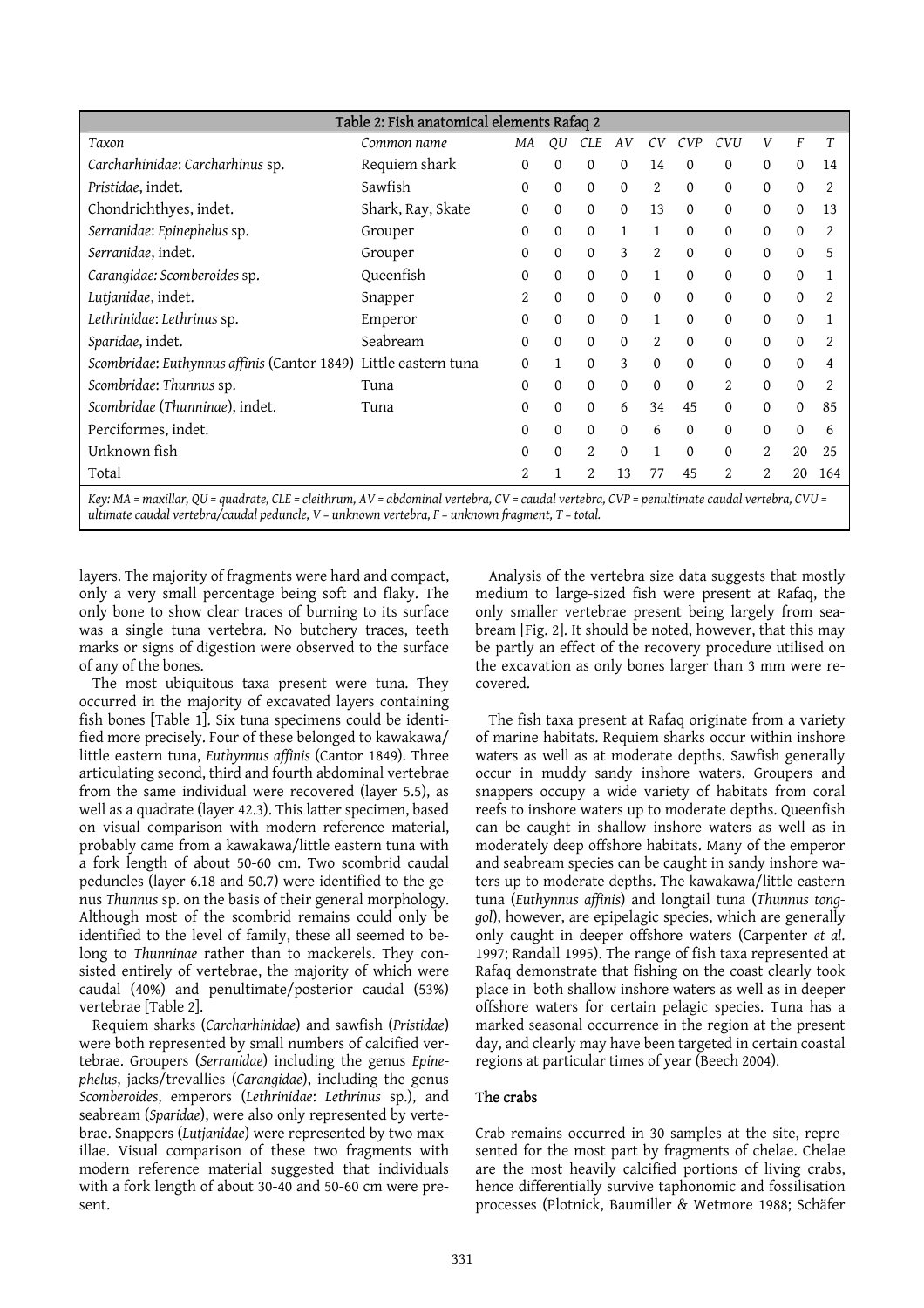|                                             | Table 2: Fish anatomical elements Rafaq 2 |                |                  |              |              |                |              |                |                |              |     |
|---------------------------------------------|-------------------------------------------|----------------|------------------|--------------|--------------|----------------|--------------|----------------|----------------|--------------|-----|
| Taxon                                       | Common name                               | ΜA             | QU               | CLE          | AV           | CV             | CVP          | CVU            |                | F            | Τ   |
| Carcharhinidae: Carcharhinus sp.            | Requiem shark                             | $\Omega$       | 0                | 0            | $\Omega$     | 14             | $\Omega$     | $\Omega$       | $\Omega$       | $\mathbf{0}$ | 14  |
| Pristidae, indet.                           | Sawfish                                   | $\Omega$       | $\Omega$         | $\Omega$     | $\Omega$     | 2              | $\Omega$     | $\Omega$       | $\Omega$       | $\Omega$     |     |
| Chondrichthyes, indet.                      | Shark, Ray, Skate                         | $\mathbf{0}$   | $\mathbf 0$      | $\mathbf{0}$ | $\Omega$     | 13             | $\mathbf{0}$ | $\Omega$       | $\mathbf{0}$   | $\mathbf{0}$ | 13  |
| Serranidae: Epinephelus sp.                 | Grouper                                   | $\mathbf{0}$   | $\boldsymbol{0}$ | $\mathbf{0}$ |              | 1              | $\Omega$     | $\Omega$       | $\Omega$       | $\mathbf{0}$ | 2   |
| Serranidae, indet.                          | Grouper                                   | $\mathbf{0}$   | $\mathbf{0}$     | $\mathbf{0}$ | 3            | $\overline{2}$ | $\mathbf{0}$ | $\Omega$       | $\mathbf{0}$   | $\mathbf{0}$ | 5   |
| Carangidae: Scomberoides sp.                | Queenfish                                 | $\Omega$       | $\mathbf{0}$     | $\Omega$     | $\Omega$     | $\mathbf{1}$   | $\Omega$     | $\Omega$       | $\Omega$       | $\Omega$     |     |
| Lutjanidae, indet.                          | Snapper                                   | 2              | $\mathbf{0}$     | $\mathbf{0}$ | $\mathbf{0}$ | $\mathbf{0}$   | $\Omega$     | $\Omega$       | $\Omega$       | $\Omega$     | 2   |
| Lethrinidae: Lethrinus sp.                  | Emperor                                   | $\Omega$       | $\Omega$         | $\Omega$     | $\Omega$     | $\mathbf{1}$   | $\Omega$     | $\Omega$       | $\Omega$       | $\Omega$     |     |
| Sparidae, indet.                            | Seabream                                  | $\Omega$       | $\Omega$         | $\Omega$     | $\Omega$     | $\overline{2}$ | $\Omega$     | $\Omega$       | $\Omega$       | $\mathbf{0}$ | 2   |
| Scombridae: Euthynnus affinis (Cantor 1849) | Little eastern tuna                       | $\Omega$       | $\mathbf{1}$     | $\Omega$     | 3            | $\mathbf{0}$   | $\Omega$     | $\Omega$       | $\Omega$       | $\Omega$     | 4   |
| Scombridae: Thunnus sp.                     | Tuna                                      | $\mathbf{0}$   | 0                | $\mathbf{0}$ | $\mathbf{0}$ | $\mathbf{0}$   | $\mathbf{0}$ | $\overline{2}$ | $\mathbf{0}$   | $\mathbf{0}$ | 2   |
| Scombridae (Thunninae), indet.              | Tuna                                      | $\Omega$       | $\mathbf{0}$     | $\mathbf{0}$ | 6            | 34             | 45           | $\Omega$       | $\Omega$       | $\mathbf{0}$ | 85  |
| Perciformes, indet.                         |                                           | $\Omega$       | $\mathbf{0}$     | $\Omega$     | $\Omega$     | 6              | $\Omega$     | $\Omega$       | $\Omega$       | $\mathbf{0}$ | 6   |
| Unknown fish                                |                                           | $\Omega$       | $\Omega$         | 2            | $\Omega$     | $\mathbf{1}$   | $\Omega$     | 0              | $\overline{2}$ | 20           | 25  |
| Total                                       |                                           | $\overline{2}$ | 1                | 2            | 13           | 77             | 45           | $\overline{2}$ | 2              | 20           | 164 |
|                                             | $\cdots$                                  |                |                  |              |              |                |              |                |                |              |     |

*Key: MA = maxillar, QU = quadrate, CLE = cleithrum, AV = abdominal vertebra, CV = caudal vertebra, CVP = penultimate caudal vertebra, CVU = ultimate caudal vertebra/caudal peduncle, V = unknown vertebra, F = unknown fragment, T = total.*

layers. The majority of fragments were hard and compact, only a very small percentage being soft and flaky. The only bone to show clear traces of burning to its surface was a single tuna vertebra. No butchery traces, teeth marks or signs of digestion were observed to the surface of any of the bones.

 The most ubiquitous taxa present were tuna. They occurred in the majority of excavated layers containing fish bones [Table 1]. Six tuna specimens could be identified more precisely. Four of these belonged to kawakawa/ little eastern tuna, *Euthynnus affinis* (Cantor 1849). Three articulating second, third and fourth abdominal vertebrae from the same individual were recovered (layer 5.5), as well as a quadrate (layer 42.3). This latter specimen, based on visual comparison with modern reference material, probably came from a kawakawa/little eastern tuna with a fork length of about 50-60 cm. Two scombrid caudal peduncles (layer 6.18 and 50.7) were identified to the genus *Thunnus* sp. on the basis of their general morphology. Although most of the scombrid remains could only be identified to the level of family, these all seemed to belong to *Thunninae* rather than to mackerels. They consisted entirely of vertebrae, the majority of which were caudal (40%) and penultimate/posterior caudal (53%) vertebrae [Table 2].

 Requiem sharks (*Carcharhinidae*) and sawfish (*Pristidae*) were both represented by small numbers of calcified vertebrae. Groupers (*Serranidae*) including the genus *Epinephelus*, jacks/trevallies (*Carangidae*), including the genus *Scomberoides*, emperors (*Lethrinidae*: *Lethrinus* sp.), and seabream (*Sparidae*), were also only represented by vertebrae. Snappers (*Lutjanidae*) were represented by two maxillae. Visual comparison of these two fragments with modern reference material suggested that individuals with a fork length of about 30-40 and 50-60 cm were present.

 Analysis of the vertebra size data suggests that mostly medium to large-sized fish were present at Rafaq, the only smaller vertebrae present being largely from seabream [Fig. 2]. It should be noted, however, that this may be partly an effect of the recovery procedure utilised on the excavation as only bones larger than 3 mm were recovered.

The fish taxa present at Rafaq originate from a variety of marine habitats. Requiem sharks occur within inshore waters as well as at moderate depths. Sawfish generally occur in muddy sandy inshore waters. Groupers and snappers occupy a wide variety of habitats from coral reefs to inshore waters up to moderate depths. Queenfish can be caught in shallow inshore waters as well as in moderately deep offshore habitats. Many of the emperor and seabream species can be caught in sandy inshore waters up to moderate depths. The kawakawa/little eastern tuna (*Euthynnus affinis*) and longtail tuna (*Thunnus tonggol*), however, are epipelagic species, which are generally only caught in deeper offshore waters (Carpenter *et al*. 1997; Randall 1995). The range of fish taxa represented at Rafaq demonstrate that fishing on the coast clearly took place in both shallow inshore waters as well as in deeper offshore waters for certain pelagic species. Tuna has a marked seasonal occurrence in the region at the present day, and clearly may have been targeted in certain coastal regions at particular times of year (Beech 2004).

#### The crabs

Crab remains occurred in 30 samples at the site, represented for the most part by fragments of chelae. Chelae are the most heavily calcified portions of living crabs, hence differentially survive taphonomic and fossilisation processes (Plotnick, Baumiller & Wetmore 1988; Schäfer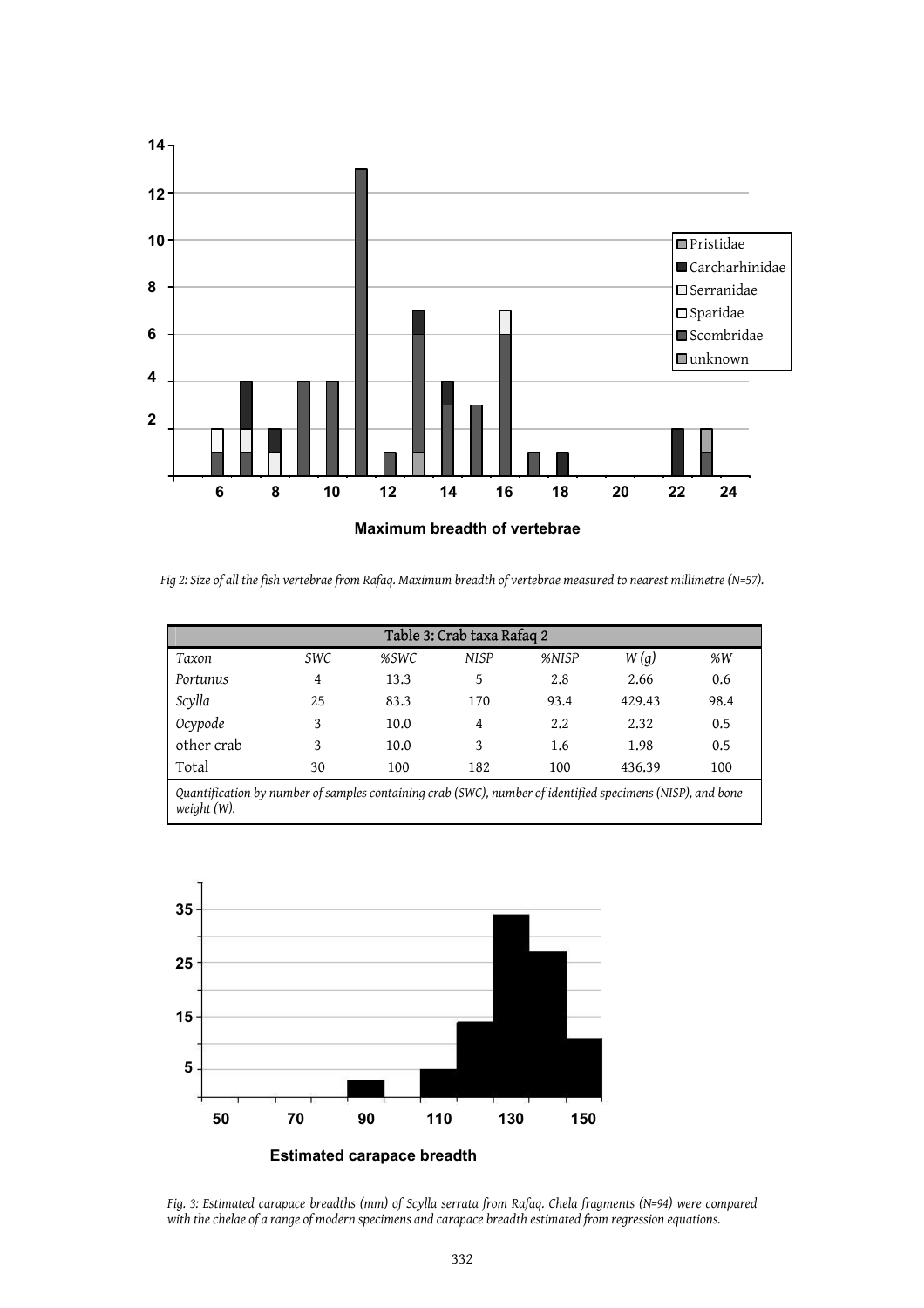

*Fig 2: Size of all the fish vertebrae from Rafaq. Maximum breadth of vertebrae measured to nearest millimetre (N=57).* 

| Table 3: Crab taxa Rafaq 2 |            |      |             |       |        |      |  |  |
|----------------------------|------------|------|-------------|-------|--------|------|--|--|
| Taxon                      | <i>SWC</i> | %SWC | <b>NISP</b> | %NISP | W(g)   | %W   |  |  |
| Portunus                   | 4          | 13.3 | 5           | 2.8   | 2.66   | 0.6  |  |  |
| Scylla                     | 25         | 83.3 | 170         | 93.4  | 429.43 | 98.4 |  |  |
| Ocypode                    | 3          | 10.0 | 4           | 2.2   | 2.32   | 0.5  |  |  |
| other crab                 | 3          | 10.0 | 3           | 1.6   | 1.98   | 0.5  |  |  |
| Total                      | 30         | 100  | 182         | 100   | 436.39 | 100  |  |  |



*Fig. 3: Estimated carapace breadths (mm) of Scylla serrata from Rafaq. Chela fragments (N=94) were compared with the chelae of a range of modern specimens and carapace breadth estimated from regression equations.*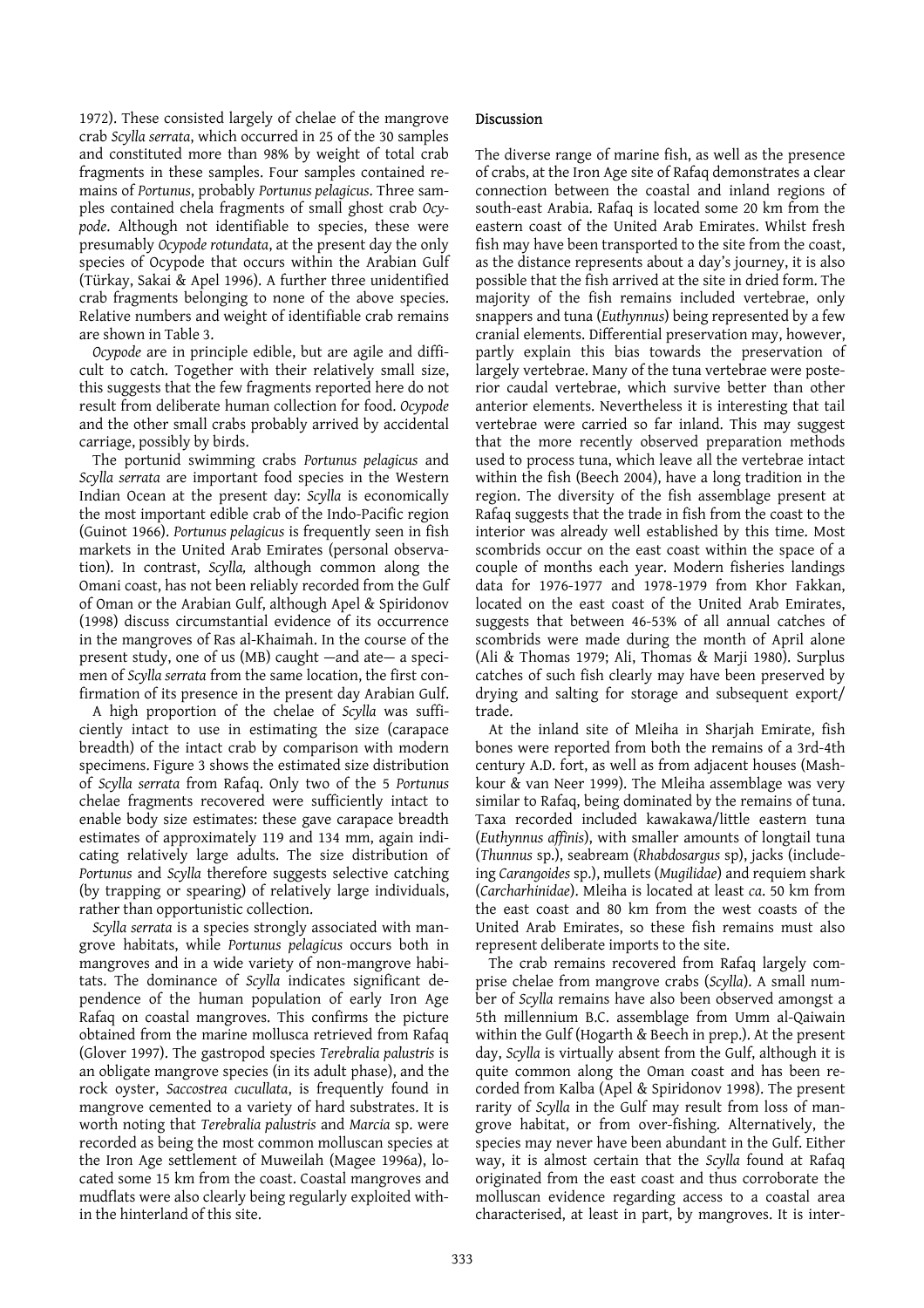1972). These consisted largely of chelae of the mangrove crab *Scylla serrata*, which occurred in 25 of the 30 samples and constituted more than 98% by weight of total crab fragments in these samples. Four samples contained remains of *Portunus*, probably *Portunus pelagicus*. Three samples contained chela fragments of small ghost crab *Ocypode*. Although not identifiable to species, these were presumably *Ocypode rotundata*, at the present day the only species of Ocypode that occurs within the Arabian Gulf (Türkay, Sakai & Apel 1996). A further three unidentified crab fragments belonging to none of the above species. Relative numbers and weight of identifiable crab remains are shown in Table 3.

*Ocypode* are in principle edible, but are agile and difficult to catch. Together with their relatively small size, this suggests that the few fragments reported here do not result from deliberate human collection for food. *Ocypode* and the other small crabs probably arrived by accidental carriage, possibly by birds.

 The portunid swimming crabs *Portunus pelagicus* and *Scylla serrata* are important food species in the Western Indian Ocean at the present day: *Scylla* is economically the most important edible crab of the Indo-Pacific region (Guinot 1966). *Portunus pelagicus* is frequently seen in fish markets in the United Arab Emirates (personal observation). In contrast, *Scylla,* although common along the Omani coast, has not been reliably recorded from the Gulf of Oman or the Arabian Gulf, although Apel & Spiridonov (1998) discuss circumstantial evidence of its occurrence in the mangroves of Ras al-Khaimah. In the course of the present study, one of us (MB) caught —and ate— a specimen of *Scylla serrata* from the same location, the first confirmation of its presence in the present day Arabian Gulf.

 A high proportion of the chelae of *Scylla* was sufficiently intact to use in estimating the size (carapace breadth) of the intact crab by comparison with modern specimens. Figure 3 shows the estimated size distribution of *Scylla serrata* from Rafaq. Only two of the 5 *Portunus* chelae fragments recovered were sufficiently intact to enable body size estimates: these gave carapace breadth estimates of approximately 119 and 134 mm, again indicating relatively large adults. The size distribution of *Portunus* and *Scylla* therefore suggests selective catching (by trapping or spearing) of relatively large individuals, rather than opportunistic collection.

*Scylla serrata* is a species strongly associated with mangrove habitats, while *Portunus pelagicus* occurs both in mangroves and in a wide variety of non-mangrove habitats. The dominance of *Scylla* indicates significant dependence of the human population of early Iron Age Rafaq on coastal mangroves. This confirms the picture obtained from the marine mollusca retrieved from Rafaq (Glover 1997). The gastropod species *Terebralia palustris* is an obligate mangrove species (in its adult phase), and the rock oyster, *Saccostrea cucullata*, is frequently found in mangrove cemented to a variety of hard substrates. It is worth noting that *Terebralia palustris* and *Marcia* sp. were recorded as being the most common molluscan species at the Iron Age settlement of Muweilah (Magee 1996a), located some 15 km from the coast. Coastal mangroves and mudflats were also clearly being regularly exploited within the hinterland of this site.

#### Discussion

The diverse range of marine fish, as well as the presence of crabs, at the Iron Age site of Rafaq demonstrates a clear connection between the coastal and inland regions of south-east Arabia. Rafaq is located some 20 km from the eastern coast of the United Arab Emirates. Whilst fresh fish may have been transported to the site from the coast, as the distance represents about a day's journey, it is also possible that the fish arrived at the site in dried form. The majority of the fish remains included vertebrae, only snappers and tuna (*Euthynnus*) being represented by a few cranial elements. Differential preservation may, however, partly explain this bias towards the preservation of largely vertebrae. Many of the tuna vertebrae were posterior caudal vertebrae, which survive better than other anterior elements. Nevertheless it is interesting that tail vertebrae were carried so far inland. This may suggest that the more recently observed preparation methods used to process tuna, which leave all the vertebrae intact within the fish (Beech 2004), have a long tradition in the region. The diversity of the fish assemblage present at Rafaq suggests that the trade in fish from the coast to the interior was already well established by this time. Most scombrids occur on the east coast within the space of a couple of months each year. Modern fisheries landings data for 1976-1977 and 1978-1979 from Khor Fakkan, located on the east coast of the United Arab Emirates, suggests that between 46-53% of all annual catches of scombrids were made during the month of April alone (Ali & Thomas 1979; Ali, Thomas & Marji 1980). Surplus catches of such fish clearly may have been preserved by drying and salting for storage and subsequent export/ trade.

 At the inland site of Mleiha in Sharjah Emirate, fish bones were reported from both the remains of a 3rd-4th century A.D. fort, as well as from adjacent houses (Mashkour & van Neer 1999). The Mleiha assemblage was very similar to Rafaq, being dominated by the remains of tuna. Taxa recorded included kawakawa/little eastern tuna (*Euthynnus affinis*), with smaller amounts of longtail tuna (*Thunnus* sp.), seabream (*Rhabdosargus* sp), jacks (includeing *Carangoides* sp.), mullets (*Mugilidae*) and requiem shark (*Carcharhinidae*). Mleiha is located at least *ca*. 50 km from the east coast and 80 km from the west coasts of the United Arab Emirates, so these fish remains must also represent deliberate imports to the site.

 The crab remains recovered from Rafaq largely comprise chelae from mangrove crabs (*Scylla*). A small number of *Scylla* remains have also been observed amongst a 5th millennium B.C. assemblage from Umm al-Qaiwain within the Gulf (Hogarth & Beech in prep.). At the present day, *Scylla* is virtually absent from the Gulf, although it is quite common along the Oman coast and has been recorded from Kalba (Apel & Spiridonov 1998). The present rarity of *Scylla* in the Gulf may result from loss of mangrove habitat, or from over-fishing. Alternatively, the species may never have been abundant in the Gulf. Either way, it is almost certain that the *Scylla* found at Rafaq originated from the east coast and thus corroborate the molluscan evidence regarding access to a coastal area characterised, at least in part, by mangroves. It is inter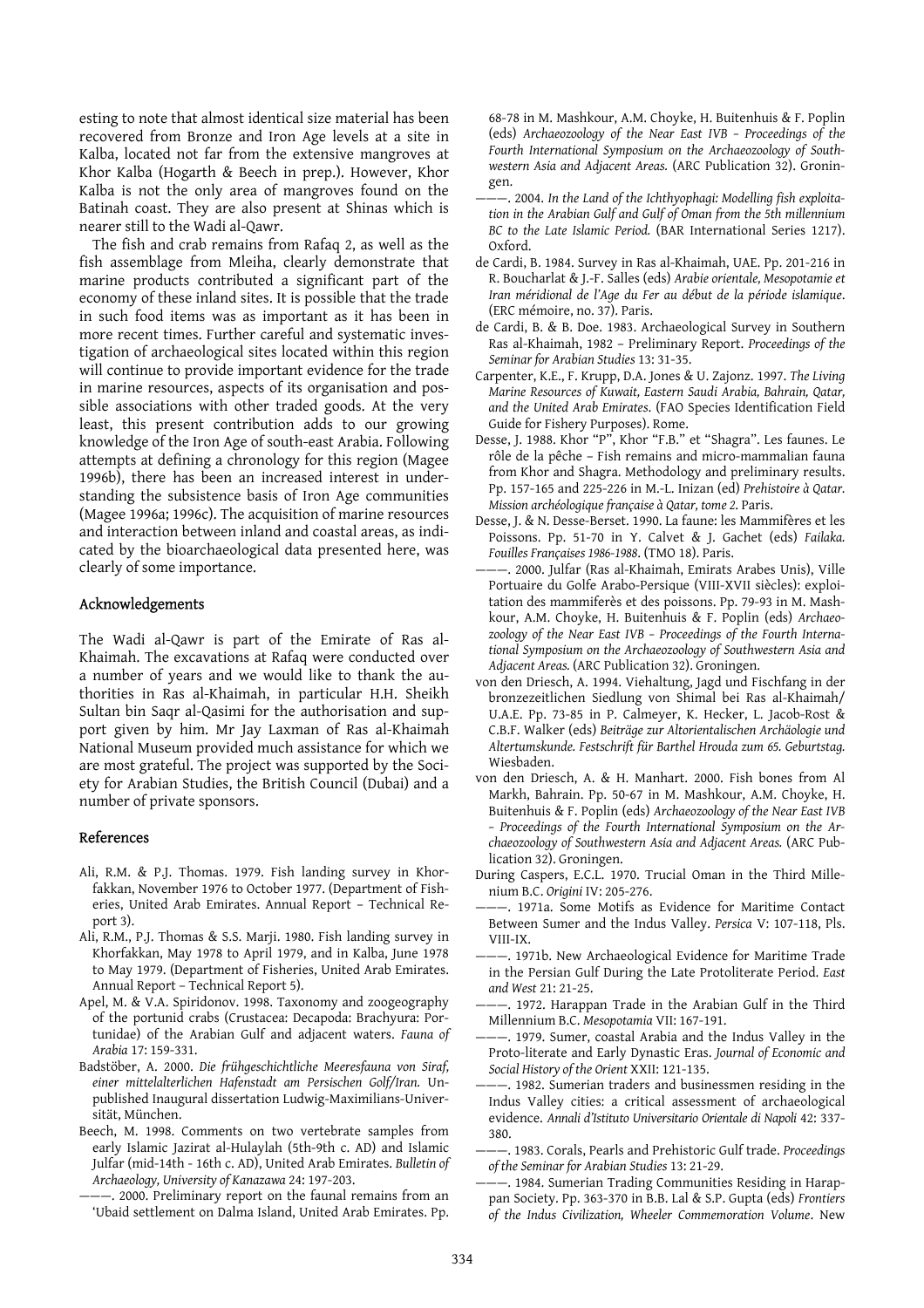esting to note that almost identical size material has been recovered from Bronze and Iron Age levels at a site in Kalba, located not far from the extensive mangroves at Khor Kalba (Hogarth & Beech in prep.). However, Khor Kalba is not the only area of mangroves found on the Batinah coast. They are also present at Shinas which is nearer still to the Wadi al-Qawr.

 The fish and crab remains from Rafaq 2, as well as the fish assemblage from Mleiha, clearly demonstrate that marine products contributed a significant part of the economy of these inland sites. It is possible that the trade in such food items was as important as it has been in more recent times. Further careful and systematic investigation of archaeological sites located within this region will continue to provide important evidence for the trade in marine resources, aspects of its organisation and possible associations with other traded goods. At the very least, this present contribution adds to our growing knowledge of the Iron Age of south-east Arabia. Following attempts at defining a chronology for this region (Magee 1996b), there has been an increased interest in understanding the subsistence basis of Iron Age communities (Magee 1996a; 1996c). The acquisition of marine resources and interaction between inland and coastal areas, as indicated by the bioarchaeological data presented here, was clearly of some importance.

#### Acknowledgements

The Wadi al-Qawr is part of the Emirate of Ras al-Khaimah. The excavations at Rafaq were conducted over a number of years and we would like to thank the authorities in Ras al-Khaimah, in particular H.H. Sheikh Sultan bin Saqr al-Qasimi for the authorisation and support given by him. Mr Jay Laxman of Ras al-Khaimah National Museum provided much assistance for which we are most grateful. The project was supported by the Society for Arabian Studies, the British Council (Dubai) and a number of private sponsors.

#### References

- Ali, R.M. & P.J. Thomas. 1979. Fish landing survey in Khorfakkan, November 1976 to October 1977. (Department of Fisheries, United Arab Emirates. Annual Report - Technical Report 3).
- Ali, R.M., P.J. Thomas & S.S. Marji. 1980. Fish landing survey in Khorfakkan, May 1978 to April 1979, and in Kalba, June 1978 to May 1979. (Department of Fisheries, United Arab Emirates. Annual Report - Technical Report 5).
- Apel, M. & V.A. Spiridonov. 1998. Taxonomy and zoogeography of the portunid crabs (Crustacea: Decapoda: Brachyura: Portunidae) of the Arabian Gulf and adjacent waters. *Fauna of Arabia* 17: 159-331.
- Badstöber, A. 2000. *Die frühgeschichtliche Meeresfauna von Siraf, einer mittelalterlichen Hafenstadt am Persischen Golf/Iran.* Unpublished Inaugural dissertation Ludwig-Maximilians-Universität, München.
- Beech, M. 1998. Comments on two vertebrate samples from early Islamic Jazirat al-Hulaylah (5th-9th c. AD) and Islamic Julfar (mid-14th - 16th c. AD), United Arab Emirates. *Bulletin of Archaeology, University of Kanazawa* 24: 197-203.
	- -. 2000. Preliminary report on the faunal remains from an 'Ubaid settlement on Dalma Island, United Arab Emirates. Pp.

68-78 in M. Mashkour, A.M. Choyke, H. Buitenhuis & F. Poplin (eds) *Archaeozoology of the Near East IVB ‒ Proceedings of the Fourth International Symposium on the Archaeozoology of Southwestern Asia and Adjacent Areas.* (ARC Publication 32). Groningen.

- -. 2004. In the Land of the Ichthyophagi: Modelling fish exploita*tion in the Arabian Gulf and Gulf of Oman from the 5th millennium BC to the Late Islamic Period.* (BAR International Series 1217). Oxford.
- de Cardi, B. 1984. Survey in Ras al-Khaimah, UAE. Pp. 201-216 in R. Boucharlat & J.-F. Salles (eds) *Arabie orientale, Mesopotamie et Iran méridional de l'Age du Fer au début de la période islamique*. (ERC mémoire, no. 37). Paris.
- de Cardi, B. & B. Doe. 1983. Archaeological Survey in Southern Ras al-Khaimah, 1982 ‒ Preliminary Report. *Proceedings of the Seminar for Arabian Studies* 13: 31-35.
- Carpenter, K.E., F. Krupp, D.A. Jones & U. Zajonz. 1997. *The Living Marine Resources of Kuwait, Eastern Saudi Arabia, Bahrain, Qatar, and the United Arab Emirates*. (FAO Species Identification Field Guide for Fishery Purposes). Rome.
- Desse, J. 1988. Khor "P", Khor "F.B." et "Shagra". Les faunes. Le rôle de la pêche - Fish remains and micro-mammalian fauna from Khor and Shagra. Methodology and preliminary results. Pp. 157-165 and 225-226 in M.-L. Inizan (ed) *Prehistoire à Qatar. Mission archéologique française à Qatar, tome 2*. Paris.
- Desse, J. & N. Desse-Berset. 1990. La faune: les Mammifères et les Poissons. Pp. 51-70 in Y. Calvet & J. Gachet (eds) *Failaka. Fouilles Françaises 1986-1988*. (TMO 18). Paris.
- -. 2000. Julfar (Ras al-Khaimah, Emirats Arabes Unis), Ville Portuaire du Golfe Arabo-Persique (VIII-XVII siècles): exploitation des mammiferès et des poissons. Pp. 79-93 in M. Mashkour, A.M. Choyke, H. Buitenhuis & F. Poplin (eds) *Archaeozoology of the Near East IVB ‒ Proceedings of the Fourth International Symposium on the Archaeozoology of Southwestern Asia and Adjacent Areas.* (ARC Publication 32). Groningen.
- von den Driesch, A. 1994. Viehaltung, Jagd und Fischfang in der bronzezeitlichen Siedlung von Shimal bei Ras al-Khaimah/ U.A.E. Pp. 73-85 in P. Calmeyer, K. Hecker, L. Jacob-Rost & C.B.F. Walker (eds) *Beiträge zur Altorientalischen Archäologie und Altertumskunde. Festschrift für Barthel Hrouda zum 65. Geburtstag.* Wiesbaden.
- von den Driesch, A. & H. Manhart. 2000. Fish bones from Al Markh, Bahrain. Pp. 50-67 in M. Mashkour, A.M. Choyke, H. Buitenhuis & F. Poplin (eds) *Archaeozoology of the Near East IVB ‒ Proceedings of the Fourth International Symposium on the Archaeozoology of Southwestern Asia and Adjacent Areas.* (ARC Publication 32). Groningen.
- During Caspers, E.C.L. 1970. Trucial Oman in the Third Millenium B.C. *Origini* IV: 205-276.
- ———. 1971a. Some Motifs as Evidence for Maritime Contact Between Sumer and the Indus Valley. *Persica* V: 107-118, Pls. VIII-IX.
- -. 1971b. New Archaeological Evidence for Maritime Trade in the Persian Gulf During the Late Protoliterate Period. *East and West* 21: 21-25.
- 1972. Harappan Trade in the Arabian Gulf in the Third Millennium B.C. *Mesopotamia* VII: 167-191.
- -. 1979. Sumer, coastal Arabia and the Indus Valley in the Proto-literate and Early Dynastic Eras. *Journal of Economic and Social History of the Orient* XXII: 121-135.
- ———. 1982. Sumerian traders and businessmen residing in the Indus Valley cities: a critical assessment of archaeological evidence. *Annali d'Istituto Universitario Orientale di Napoli* 42: 337- 380.
- ———. 1983. Corals, Pearls and Prehistoric Gulf trade. *Proceedings of the Seminar for Arabian Studies* 13: 21-29.
- ———. 1984. Sumerian Trading Communities Residing in Harappan Society. Pp. 363-370 in B.B. Lal & S.P. Gupta (eds) *Frontiers of the Indus Civilization, Wheeler Commemoration Volume*. New